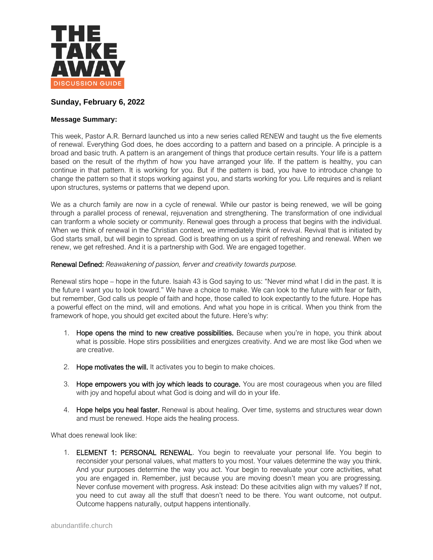

# **Sunday, February 6, 2022**

# **Message Summary:**

This week, Pastor A.R. Bernard launched us into a new series called RENEW and taught us the five elements of renewal. Everything God does, he does according to a pattern and based on a principle. A principle is a broad and basic truth. A pattern is an arangement of things that produce certain results. Your life is a pattern based on the result of the rhythm of how you have arranged your life. If the pattern is healthy, you can continue in that pattern. It is working for you. But if the pattern is bad, you have to introduce change to change the pattern so that it stops working against you, and starts working for you. Life requires and is reliant upon structures, systems or patterns that we depend upon.

We as a church family are now in a cycle of renewal. While our pastor is being renewed, we will be going through a parallel process of renewal, rejuvenation and strengthening. The transformation of one individual can tranform a whole society or community. Renewal goes through a process that begins with the individual. When we think of renewal in the Christian context, we immediately think of revival. Revival that is initiated by God starts small, but will begin to spread. God is breathing on us a spirit of refreshing and renewal. When we renew, we get refreshed. And it is a partnership with God. We are engaged together.

# Renewal Defined: *Reawakening of passion, ferver and creativity towards purpose.*

Renewal stirs hope – hope in the future. Isaiah 43 is God saying to us: "Never mind what I did in the past. It is the future I want you to look toward." We have a choice to make. We can look to the future with fear or faith, but remember, God calls us people of faith and hope, those called to look expectantly to the future. Hope has a powerful effect on the mind, will and emotions. And what you hope in is critical. When you think from the framework of hope, you should get excited about the future. Here's why:

- 1. Hope opens the mind to new creative possibilities. Because when you're in hope, you think about what is possible. Hope stirs possibilities and energizes creativity. And we are most like God when we are creative.
- 2. Hope motivates the will. It activates you to begin to make choices.
- 3. Hope empowers you with joy which leads to courage. You are most courageous when you are filled with joy and hopeful about what God is doing and will do in your life.
- 4. Hope helps you heal faster. Renewal is about healing. Over time, systems and structures wear down and must be renewed. Hope aids the healing process.

What does renewal look like:

1. ELEMENT 1: PERSONAL RENEWAL. You begin to reevaluate your personal life. You begin to reconsider your personal values, what matters to you most. Your values determine the way you think. And your purposes determine the way you act. Your begin to reevaluate your core activities, what you are engaged in. Remember, just because you are moving doesn't mean you are progressing. Never confuse movement with progress. Ask instead: Do these acitvities align with my values? If not, you need to cut away all the stuff that doesn't need to be there. You want outcome, not output. Outcome happens naturally, output happens intentionally.